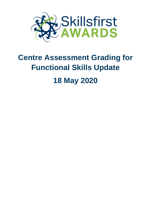

# **Centre Assessment Grading for Functional Skills Update 18 May 2020**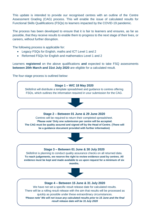This update is intended to provide our recognised centres with an outline of the Centre Assessment Grading (CAG) process. This will enable the issue of calculated results for Functional Skills Qualifications (FSQs) to learners impacted by the COVID-19 pandemic.

The process has been developed to ensure that it is fair to learners and ensures, as far as possible, that they receive results to enable them to progress to the next stage of their lives, or careers, without further disruption.

The following process is applicable for:

- Legacy FSQs for English, maths and ICT Level 1 and 2
- Reformed FSQs for English and mathematics Level 1 and 2

Learners **registered** on the above qualifications **and** expected to take FSQ assessments **between 20th March and 31st July 2020** are eligible for a calculated result.

The four-stage process is outlined below:

## **Stage 1 – W/C 18 May 2020**

Skillsfirst will distribute a template spreadsheet and guidance to centres offering FSQs, which outlines the information required in your submission for the CAG.



## **Stage 2 – Between 01 June & 29 June 2020**

Centres will be required to return their completed spreadsheet. *'Please note'* **Only one submission per centre will be accepted. The CAG must be quality assured and signed off by the Head of Centre. (There will be a guidance document provided with further information)**



## **Stage 3 – Between 01 June & 30 July 2020**

Skillsfirst is planning to conduct quality assurance checks on all returned data. **To reach judgements, we reserve the right to review evidence used by centres. All evidence must be kept and made available to us upon request for a minimum of six months.**



#### **Stage 4 – Between 15 June & 31 July 2020**

We have not set a specific result release date for calculated results. There will be a rolling result release with the aim that results will be processed as quickly as possible under these extraordinary circumstances. *'Please note' We will not issue any calculated results prior to 15 June and the final result release date will be 31 July 2020*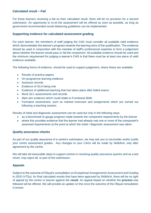### **Calculated result – Fail**

For those learners receiving a fail as their calculated result, there will be no provision for a second submission. An opportunity to re-sit the assessment will be offered as soon as possible, as long as government recommended social distancing guidelines can be implemented.

#### **Supporting evidence for calculated assessment grading**

For each learner, the member/s of staff judging the CAG must consider all available valid evidence which demonstrates the learner's progress towards the learning aims of the qualification. The evidence should be used in conjunction with the member of staff's professional expertise to form a judgement about whether the learner would pass or fail the component. All available evidence should be used and the minimum requirement for judging a learner's CAG is that there must be at least one piece of valid evidence available.

The following forms of evidence, should be used to support judgement, where these are available:

- Results of practice papers
- On-programme learning evidence
- Assessor records
- Evidence of GLH being met
- Evidence of additional teaching that has taken place after failed exams
- Mock SLC assessments and records
- Main aim evidence which could relate to Functional Skills
- Formative assessment, such as marked exercises and assignments which are carried out following a teaching session

Results of initial and diagnostic assessment can be used but only in the following ways:

- as a benchmark to gauge progress made towards the component requirements by the learner
- where this provides evidence that the learner had already met one or more of the component's assessed requirements at the point at which the initial / diagnostic assessment was taken

#### **Quality assurance checks**

As part of our quality assurance of a centre's submission, we may ask you to reconsider and/or justify your centre assessment grades. Any changes to your CAGs will be made by Skillsfirst, only after agreement by the centre.

We will take all reasonable steps to support centres in resolving quality assurance queries and as a last resort, may reject all, or part of the submission.

#### **Appeals**

Subject to the outcome of Ofqual's consultation on *Exceptional Arrangements Assessment and Grading in 2020 (VTQs),* for final calculated results that have been approved by Skillsfirst, there will be no right of appeal by the centre or learner against the **result**. An appeal based on whether the **process** was followed will be offered. We will provide an update on this once the outcome of the Ofqual consultation is known.